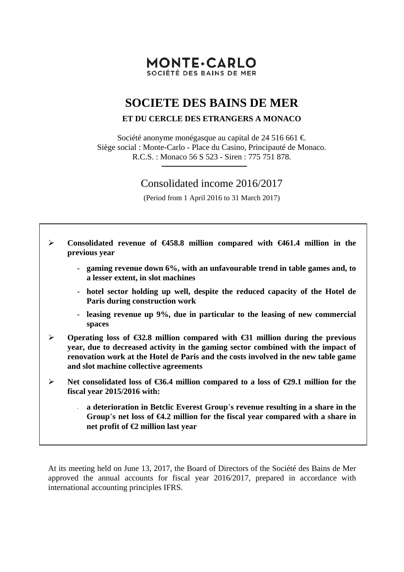# **MONTE-CARLO** SOCIÉTÉ DES BAINS DE MER

# **SOCIETE DES BAINS DE MER**

## **ET DU CERCLE DES ETRANGERS A MONACO**

Société anonyme monégasque au capital de 24 516 661  $\in$ . Siège social : Monte-Carlo - Place du Casino, Principauté de Monaco. R.C.S. : Monaco 56 S 523 - Siren : 775 751 878.

# Consolidated income 2016/2017

(Period from 1 April 2016 to 31 March 2017)

 **Consolidated revenue of €458.8 million compared with €461.4 million in the previous year**  - **gaming revenue down 6%, with an unfavourable trend in table games and, to a lesser extent, in slot machines**  - **hotel sector holding up well, despite the reduced capacity of the Hotel de Paris during construction work**  - **leasing revenue up 9%, due in particular to the leasing of new commercial spaces Operating loss of €32.8 million compared with €31 million during the previous year, due to decreased activity in the gaming sector combined with the impact of renovation work at the Hotel de Paris and the costs involved in the new table game and slot machine collective agreements Net consolidated loss of €36.4 million compared to a loss of €29.1 million for the fiscal year 2015/2016 with:**  - **a deterioration in Betclic Everest Group**'**s revenue resulting in a share in the Group**'**s net loss of €4.2 million for the fiscal year compared with a share in net profit of €2 million last year** 

At its meeting held on June 13, 2017, the Board of Directors of the Société des Bains de Mer approved the annual accounts for fiscal year 2016/2017, prepared in accordance with international accounting principles IFRS.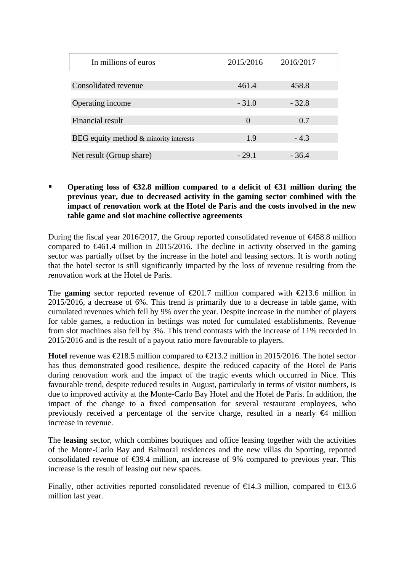| In millions of euros                   | 2015/2016 | 2016/2017 |
|----------------------------------------|-----------|-----------|
| Consolidated revenue                   | 461.4     | 458.8     |
|                                        | $-31.0$   | $-32.8$   |
| Operating income                       |           |           |
| Financial result                       | $\Omega$  | 0.7       |
| BEG equity method & minority interests | 1.9       | $-4.3$    |
| Net result (Group share)               | $-29.1$   | $-36.4$   |

## **Operating loss of €32.8 million compared to a deficit of €31 million during the previous year, due to decreased activity in the gaming sector combined with the impact of renovation work at the Hotel de Paris and the costs involved in the new table game and slot machine collective agreements**

During the fiscal year 2016/2017, the Group reported consolidated revenue of  $\epsilon$ 458.8 million compared to  $\epsilon 461.4$  million in 2015/2016. The decline in activity observed in the gaming sector was partially offset by the increase in the hotel and leasing sectors. It is worth noting that the hotel sector is still significantly impacted by the loss of revenue resulting from the renovation work at the Hotel de Paris.

The **gaming** sector reported revenue of  $\epsilon 201.7$  million compared with  $\epsilon 213.6$  million in 2015/2016, a decrease of 6%. This trend is primarily due to a decrease in table game, with cumulated revenues which fell by 9% over the year. Despite increase in the number of players for table games, a reduction in bettings was noted for cumulated establishments. Revenue from slot machines also fell by 3%. This trend contrasts with the increase of 11% recorded in 2015/2016 and is the result of a payout ratio more favourable to players.

**Hotel** revenue was  $\epsilon$ 218.5 million compared to  $\epsilon$ 213.2 million in 2015/2016. The hotel sector has thus demonstrated good resilience, despite the reduced capacity of the Hotel de Paris during renovation work and the impact of the tragic events which occurred in Nice. This favourable trend, despite reduced results in August, particularly in terms of visitor numbers, is due to improved activity at the Monte-Carlo Bay Hotel and the Hotel de Paris. In addition, the impact of the change to a fixed compensation for several restaurant employees, who previously received a percentage of the service charge, resulted in a nearly  $\Theta$  million increase in revenue.

The **leasing** sector, which combines boutiques and office leasing together with the activities of the Monte-Carlo Bay and Balmoral residences and the new villas du Sporting, reported consolidated revenue of  $\epsilon$ 39.4 million, an increase of 9% compared to previous year. This increase is the result of leasing out new spaces.

Finally, other activities reported consolidated revenue of  $\in$  4.3 million, compared to  $\in$  3.6 million last year.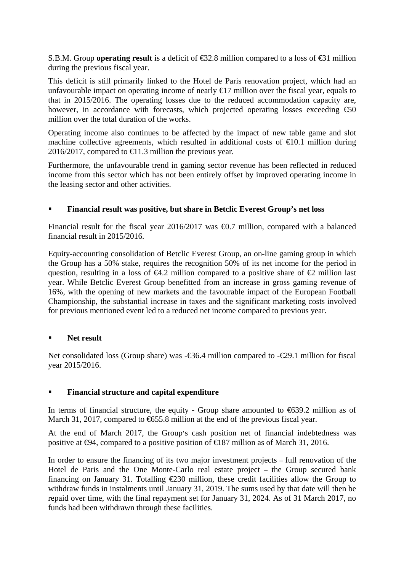S.B.M. Group **operating result** is a deficit of €32.8 million compared to a loss of €31 million during the previous fiscal year.

This deficit is still primarily linked to the Hotel de Paris renovation project, which had an unfavourable impact on operating income of nearly  $\bigoplus$  7 million over the fiscal year, equals to that in 2015/2016. The operating losses due to the reduced accommodation capacity are, however, in accordance with forecasts, which projected operating losses exceeding  $\epsilon$ 50 million over the total duration of the works.

Operating income also continues to be affected by the impact of new table game and slot machine collective agreements, which resulted in additional costs of  $\epsilon 0.1$  million during 2016/2017, compared to  $\bigoplus$  1.3 million the previous year.

Furthermore, the unfavourable trend in gaming sector revenue has been reflected in reduced income from this sector which has not been entirely offset by improved operating income in the leasing sector and other activities.

#### **Financial result was positive, but share in Betclic Everest Group's net loss**

Financial result for the fiscal year 2016/2017 was  $\bigoplus$ .7 million, compared with a balanced financial result in 2015/2016.

Equity-accounting consolidation of Betclic Everest Group, an on-line gaming group in which the Group has a 50% stake, requires the recognition 50% of its net income for the period in question, resulting in a loss of  $\epsilon 4.2$  million compared to a positive share of  $\epsilon 2$  million last year. While Betclic Everest Group benefitted from an increase in gross gaming revenue of 16%, with the opening of new markets and the favourable impact of the European Football Championship, the substantial increase in taxes and the significant marketing costs involved for previous mentioned event led to a reduced net income compared to previous year.

#### **Net result**

Net consolidated loss (Group share) was -€36.4 million compared to -€29.1 million for fiscal year 2015/2016.

### **Financial structure and capital expenditure**

In terms of financial structure, the equity - Group share amounted to  $\epsilon$ 639.2 million as of March 31, 2017, compared to  $655.8$  million at the end of the previous fiscal year.

At the end of March 2017, the Group's cash position net of financial indebtedness was positive at  $\Theta$ 4, compared to a positive position of  $\Theta$ 87 million as of March 31, 2016.

In order to ensure the financing of its two major investment projects – full renovation of the Hotel de Paris and the One Monte-Carlo real estate project – the Group secured bank financing on January 31. Totalling  $\epsilon$ 230 million, these credit facilities allow the Group to withdraw funds in instalments until January 31, 2019. The sums used by that date will then be repaid over time, with the final repayment set for January 31, 2024. As of 31 March 2017, no funds had been withdrawn through these facilities.